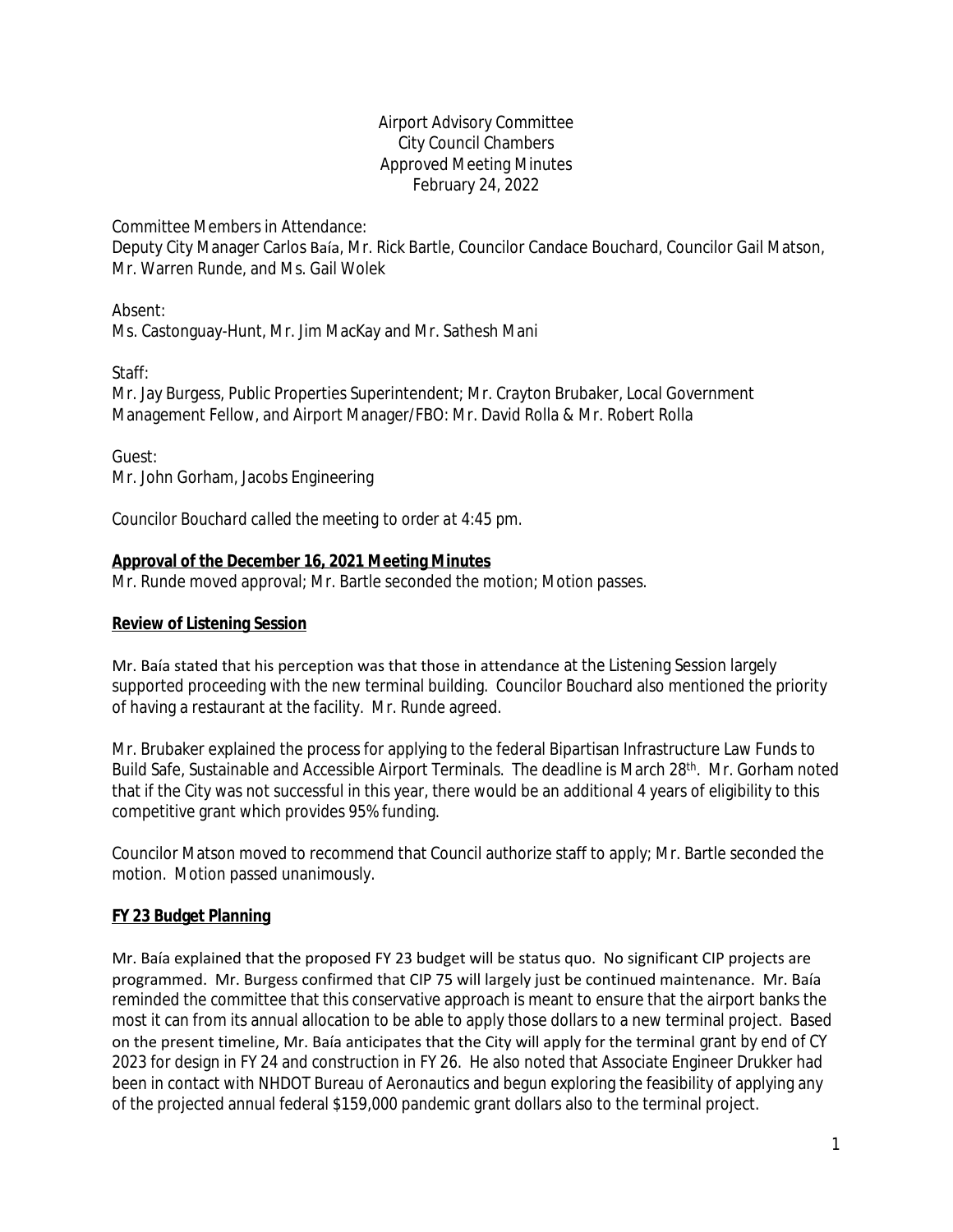### Airport Advisory Committee City Council Chambers Approved Meeting Minutes February 24, 2022

Committee Members in Attendance:

Deputy City Manager Carlos Baía, Mr. Rick Bartle, Councilor Candace Bouchard, Councilor Gail Matson, Mr. Warren Runde, and Ms. Gail Wolek

Absent:

Ms. Castonguay-Hunt, Mr. Jim MacKay and Mr. Sathesh Mani

Staff:

Mr. Jay Burgess, Public Properties Superintendent; Mr. Crayton Brubaker, Local Government Management Fellow, and Airport Manager/FBO: Mr. David Rolla & Mr. Robert Rolla

Guest: Mr. John Gorham, Jacobs Engineering

*Councilor Bouchard called the meeting to order at 4:45 pm.*

# **Approval of the December 16, 2021 Meeting Minutes**

Mr. Runde moved approval; Mr. Bartle seconded the motion; Motion passes.

### **Review of Listening Session**

Mr. Baía stated that his perception was that those in attendance at the Listening Session largely supported proceeding with the new terminal building. Councilor Bouchard also mentioned the priority of having a restaurant at the facility. Mr. Runde agreed.

Mr. Brubaker explained the process for applying to the federal Bipartisan Infrastructure Law Funds to Build Safe, Sustainable and Accessible Airport Terminals. The deadline is March 28<sup>th</sup>. Mr. Gorham noted that if the City was not successful in this year, there would be an additional 4 years of eligibility to this competitive grant which provides 95% funding.

Councilor Matson moved to recommend that Council authorize staff to apply; Mr. Bartle seconded the motion. Motion passed unanimously.

# **FY 23 Budget Planning**

Mr. Baía explained that the proposed FY 23 budget will be status quo. No significant CIP projects are programmed. Mr. Burgess confirmed that CIP 75 will largely just be continued maintenance. Mr. Baía reminded the committee that this conservative approach is meant to ensure that the airport banks the most it can from its annual allocation to be able to apply those dollars to a new terminal project. Based on the present timeline, Mr. Baía anticipates that the City will apply for the terminal grant by end of CY 2023 for design in FY 24 and construction in FY 26. He also noted that Associate Engineer Drukker had been in contact with NHDOT Bureau of Aeronautics and begun exploring the feasibility of applying any of the projected annual federal \$159,000 pandemic grant dollars also to the terminal project.